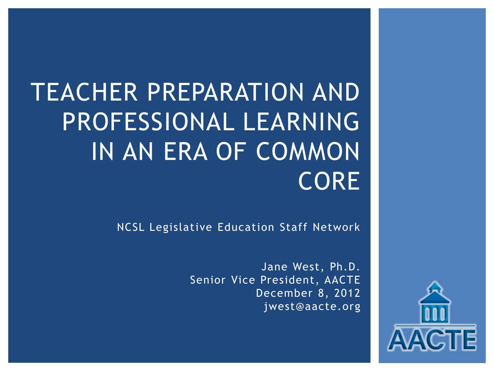# TEACHER PREPARATION AND PROFESSIONAL LEARNING IN AN ERA OF COMMON CORE

NCSL Legislative Education Staff Network

Jane West, Ph.D. Senior Vice President, AACTE December 8, 2012 jwest@aacte.org

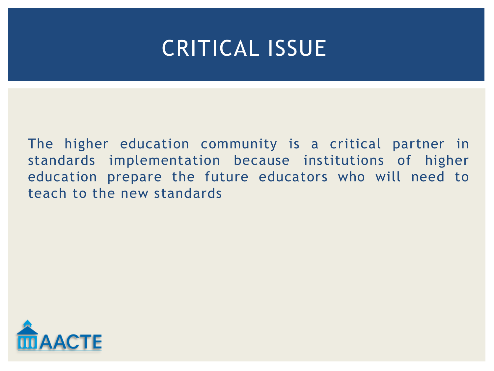## CRITICAL ISSUE

The higher education community is a critical partner in standards implementation because institutions of higher education prepare the future educators who will need to teach to the new standards

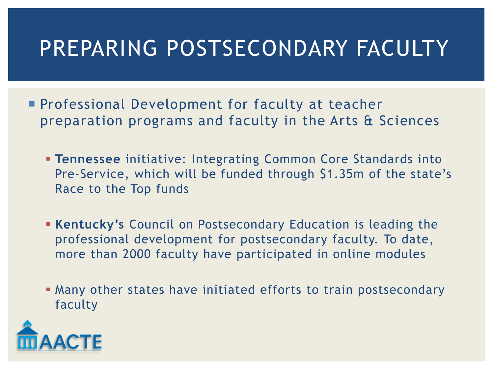# PREPARING POSTSECONDARY FACULTY

- **Professional Development for faculty at teacher** preparation programs and faculty in the Arts & Sciences
	- **Tennessee** initiative: Integrating Common Core Standards into Pre-Service, which will be funded through \$1.35m of the state's Race to the Top funds
	- **Kentucky's** Council on Postsecondary Education is leading the professional development for postsecondary faculty. To date, more than 2000 faculty have participated in online modules
	- Many other states have initiated efforts to train postsecondary faculty

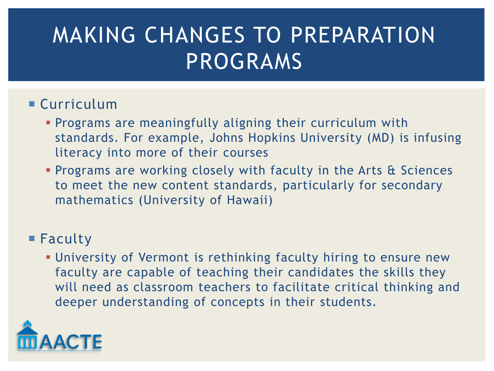# MAKING CHANGES TO PREPARATION PROGRAMS

#### Curriculum

- **Programs are meaningfully aligning their curriculum with** standards. For example, Johns Hopkins University (MD) is infusing literacy into more of their courses
- **Programs are working closely with faculty in the Arts & Sciences** to meet the new content standards, particularly for secondary mathematics (University of Hawaii)

#### ■ Faculty

 University of Vermont is rethinking faculty hiring to ensure new faculty are capable of teaching their candidates the skills they will need as classroom teachers to facilitate critical thinking and deeper understanding of concepts in their students.

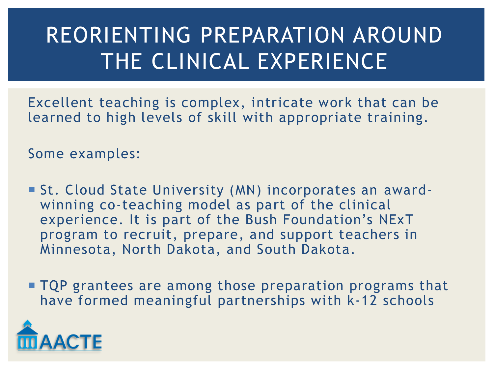# REORIENTING PREPARATION AROUND THE CLINICAL EXPERIENCE

Excellent teaching is complex, intricate work that can be learned to high levels of skill with appropriate training.

Some examples:

- St. Cloud State University (MN) incorporates an awardwinning co-teaching model as part of the clinical experience. It is part of the Bush Foundation's NExT program to recruit, prepare, and support teachers in Minnesota, North Dakota, and South Dakota.
- **TQP** grantees are among those preparation programs that have formed meaningful partnerships with k-12 schools

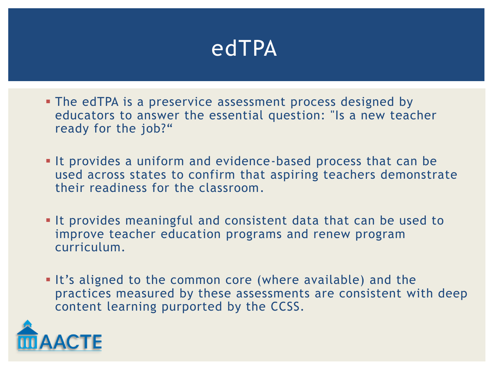## edTPA

- **The edTPA is a preservice assessment process designed by** educators to answer the essential question: "Is a new teacher ready for the job?"
- It provides a uniform and evidence-based process that can be used across states to confirm that aspiring teachers demonstrate their readiness for the classroom.
- It provides meaningful and consistent data that can be used to improve teacher education programs and renew program curriculum.
- It's aligned to the common core (where available) and the practices measured by these assessments are consistent with deep content learning purported by the CCSS.

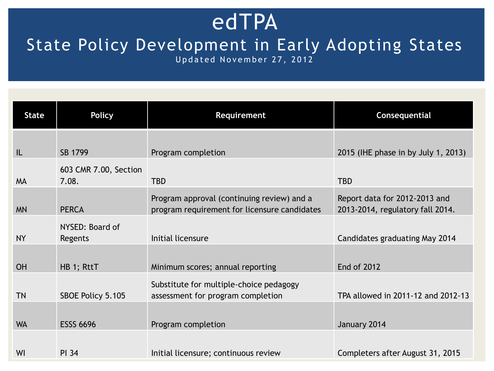### edTPA

### State Policy Development in Early Adopting States

Updated November 27, 2012

| <b>State</b> | <b>Policy</b>              | Requirement                                                                                | Consequential                                                     |
|--------------|----------------------------|--------------------------------------------------------------------------------------------|-------------------------------------------------------------------|
|              |                            |                                                                                            |                                                                   |
| IL           | SB 1799                    | Program completion                                                                         | 2015 (IHE phase in by July 1, 2013)                               |
|              | 603 CMR 7.00, Section      |                                                                                            |                                                                   |
| <b>MA</b>    | 7.08.                      | <b>TBD</b>                                                                                 | <b>TBD</b>                                                        |
| <b>MN</b>    | <b>PERCA</b>               | Program approval (continuing review) and a<br>program requirement for licensure candidates | Report data for 2012-2013 and<br>2013-2014, regulatory fall 2014. |
| <b>NY</b>    | NYSED: Board of<br>Regents | Initial licensure                                                                          | Candidates graduating May 2014                                    |
|              |                            |                                                                                            |                                                                   |
| <b>OH</b>    | HB 1; RttT                 | Minimum scores; annual reporting                                                           | <b>End of 2012</b>                                                |
|              |                            | Substitute for multiple-choice pedagogy                                                    |                                                                   |
| <b>TN</b>    | SBOE Policy 5.105          | assessment for program completion                                                          | TPA allowed in 2011-12 and 2012-13                                |
| <b>WA</b>    | <b>ESSS 6696</b>           | Program completion                                                                         | January 2014                                                      |
| WI           | <b>PI 34</b>               | Initial licensure; continuous review                                                       | Completers after August 31, 2015                                  |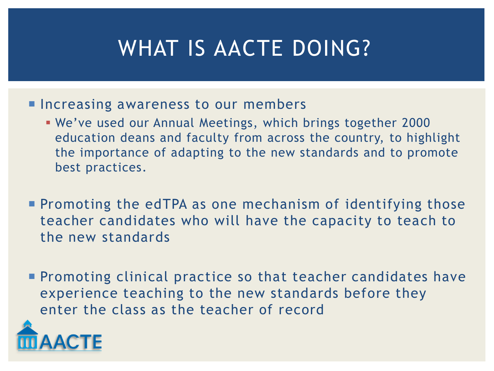# WHAT IS AACTE DOING?

- **Increasing awareness to our members** 
	- We've used our Annual Meetings, which brings together 2000 education deans and faculty from across the country, to highlight the importance of adapting to the new standards and to promote best practices.
- **Promoting the edTPA as one mechanism of identifying those** teacher candidates who will have the capacity to teach to the new standards
- **Promoting clinical practice so that teacher candidates have** experience teaching to the new standards before they enter the class as the teacher of record

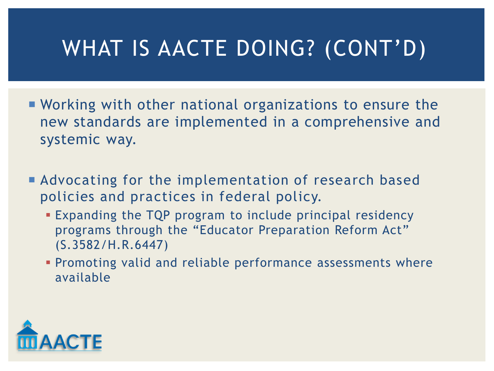# WHAT IS AACTE DOING? (CONT'D)

- Working with other national organizations to ensure the new standards are implemented in a comprehensive and systemic way.
- **Advocating for the implementation of research based** policies and practices in federal policy.
	- Expanding the TQP program to include principal residency programs through the "Educator Preparation Reform Act" (S.3582/H.R.6447)
	- Promoting valid and reliable performance assessments where available

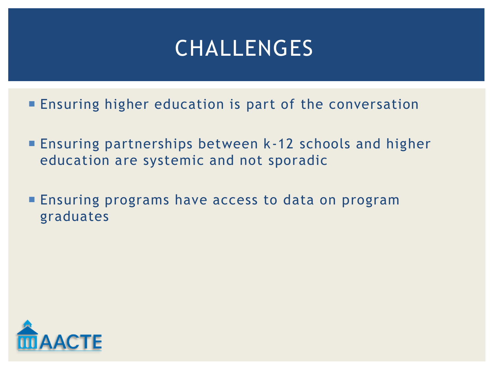## CHALLENGES

- **Ensuring higher education is part of the conversation**
- Ensuring partnerships between k-12 schools and higher education are systemic and not sporadic
- **Ensuring programs have access to data on program** graduates

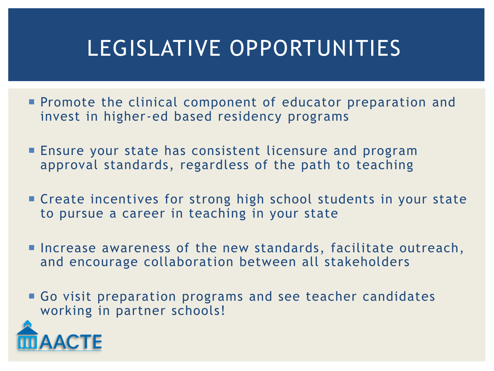# LEGISLATIVE OPPORTUNITIES

- **Promote the clinical component of educator preparation and** invest in higher-ed based residency programs
- **Ensure your state has consistent licensure and program** approval standards, regardless of the path to teaching
- **Example 2** Create incentives for strong high school students in your state to pursue a career in teaching in your state
- **Increase awareness of the new standards, facilitate outreach,** and encourage collaboration between all stakeholders
- Go visit preparation programs and see teacher candidates working in partner schools!